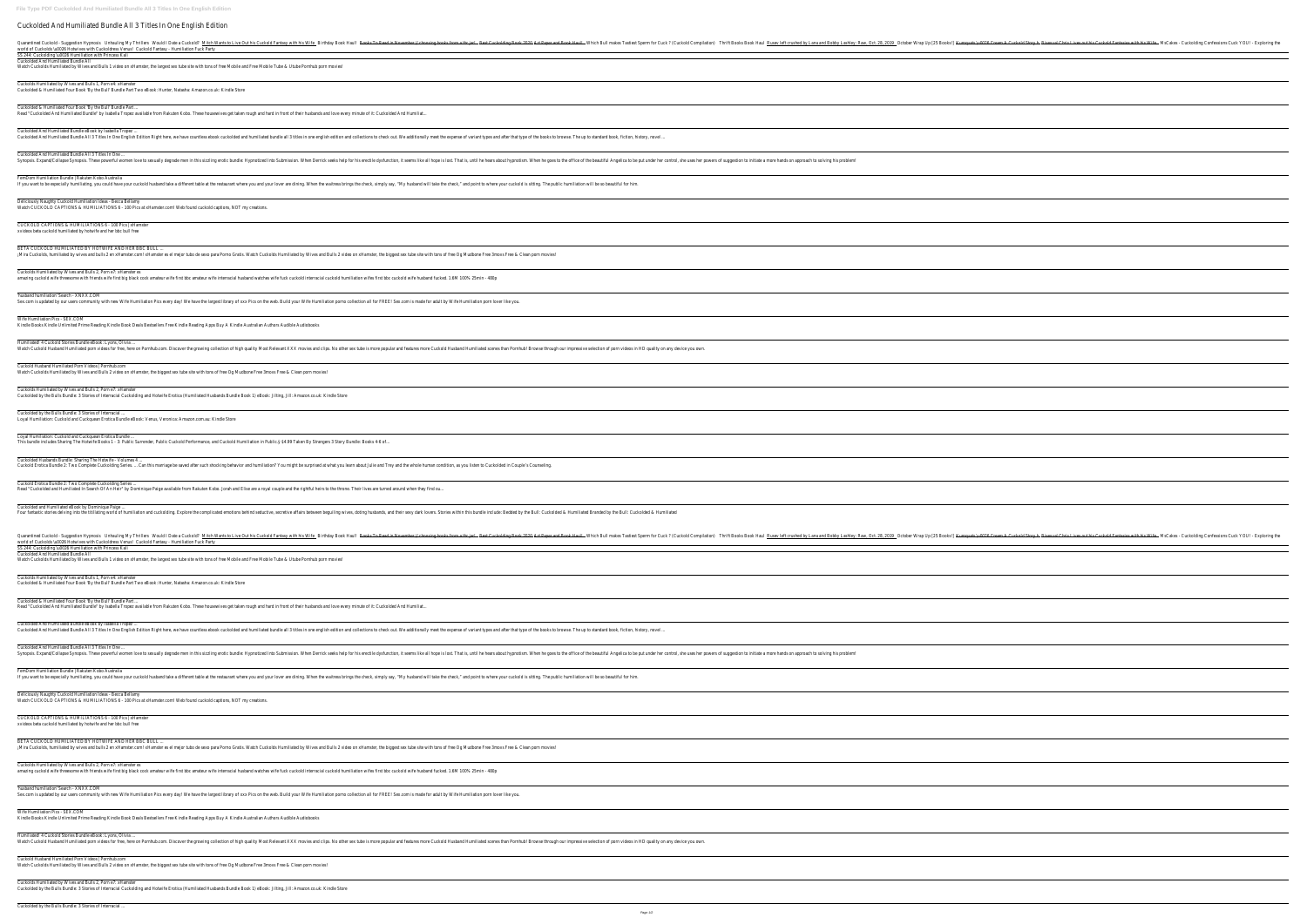**File Type PDF Cuckolded And Humiliated Bundle All 3 Titles In One English Edition** Cuckolded And Humiliated Bundle All 3 Titles In One English Edition Duarantined Cuckold - Suggestion Hypno**Sis**hauling My Thrillers Would I Date a Cuckold Mitch Wants to Live Out his Cuckold Fantasy with hisB**iffie**day Book Haull Mhich Bull makes Tastiest Sperm for Cuck ? (Cuckold Fantasy world of Cuckolds \u0026 Hotwives with Cuckoldress Venus Fantasy - Humiliation Fuck Party SS 244: Cuckolding \u0026 Humiliation with Princess Kali Cuckolded And Humiliated Bundle All Watch Cuckolds Humiliated by Wives and Bulls 1 video on xHamster, the largest sex tube site with tons of free Mobile and Free Mobile Tube & Utube Pornhub porn movies! Cuckolds Humiliated by Wives and Bulls 1, Porn e4: xHamster Cuckolded & Humiliated Four Book 'By the Bull' Bundle Part Two eBook: Hunter, Natasha: Amazon.co.uk: Kindle Store Cuckolded & Humiliated Four Book 'By the Bull' Bundle Part ... Read "Cuckolded And Humiliated Bundle" by Isabella Tropez available from Rakuten Kobo. These housewives get taken rough and hard in front of their husbands and love every minute of it: Cuckolded And Humiliat. Cuckolded And Humiliated Bundle eBook by Isabella Tropez ... Cuckolded And Humiliated Bundle All 3 Titles In One English Edition Right here, we have countless ebook cuckolded and humiliated bundle all 3 titles in one english edition and collections to check out. We additionally meet Cuckolded And Humiliated Bundle All 3 Titles In One ... Synopsis. Expand/Collapse Synopsis. These powerful women love to sexually degrade men in this sizzling erotic bundle: Hypnotized Into Submission. When he goes to the office of the beautiful Angelica to be put under her con FemDom Humiliation Bundle | Rakuten Kobo Australia If you want to be especially humiliating, you could have your cuckold husband take a different table at the restaurant where you and your lover are dining. When the waitress brings the check, simply say, "My husband will t Deliciously Naughty Cuckold Humiliation Ideas - Becca Bellamy Watch CUCKOLD CAPTIONS & HUMILIATIONS 6 - 100 Pics at xHamster.com! Web found cuckold captions, NOT my creations. CUCKOLD CAPTIONS & HUMILIATIONS 6 - 100 Pics | xHamster xvideos beta cuckold humiliated by hotwife and her bbc bull free BETA CUCKOLD HUMILIATED BY HOTWIFE AND HER BBC BULL iMira Cuckolds, humiliated by wives and bulls 2 en xHamster.com! xHamster es el mejor tubo de sexo para Porno Gratis. Watch Cuckolds Humiliated by Wives and Bulls 2 video on xHamster, the biggest sex tube site with tons of Cuckolds Humiliated by Wives and Bulls 2, Porn e7: xHamster es amazing cuckold wife threesome with friends wife first big black cock amateur wife first bbc amateur wife interracial husband watches wife fuck cuckold interracial cuckold humiliation wifes first bbc cuckold wife husband f 'husband humiliation' Search - XNXX.COM Sex.com is updated by our users community with new Wife Humiliation Pics every day! We have the largest library of xxx Pics on the web. Build your Wife Humiliation porno collection all for FREE! Sex.com is made for adult b Wife Humiliation Pics - SEX.COM Kindle Books Kindle Unlimited Prime Reading Kindle Book Deals Bestsellers Free Kindle Reading Apps Buy A Kindle Australian Authors Audible Audiobooks Humiliated! 4 Cuckold Stories Bundle eBook: Lyons, Olivia Watch Cuckold Husband Humiliated porn videos for free, here on Pornhub.com. Discover the growing collection of high quality Most Relevant XXX movies and clips. No other sex tube is more popular and features more cuckold Hu Cuckold Husband Humiliated Porn Videos | Pornhub.com Watch Cuckolds Humiliated by Wives and Bulls 2 video on xHamster, the biggest sex tube site with tons of free Og Mudbone Free 3movs Free & Clean porn movies! Cuckolds Humiliated by Wives and Bulls 2, Porn e7: xHamster Cuckolded by the Bulls Bundle: 3 Stories of Interracial Cuckolding and Hotwife Erotica (Humiliated Husbands Bundle Book 1) eBook: Jilting, Jill: Amazon.co.uk: Kindle Store Cuckolded by the Bulls Bundle: 3 Stories of Interracial Loyal Humiliation: Cuckold and Cuckquean Erotica Bundle eBook: Venus, Veronica: Amazon.com.au: Kindle Store Loyal Humiliation: Cuckold and Cuckquean Erotica Bundle This bundle includes Sharing The Hotwife Books 1 - 3: Public Surrender, Public Cuckold Performance, and Cuckold Humiliation in Public.y \$4.99 Taken By Strangers 3 Story Bundle: Books 4-6 of.. Cuckolded Husbands Bundle: Sharing The Hotwife - Volumes 4 ... Cuckold Erotica Bundle 2: Two Complete Cuckolding Series. ... Can this marriage be saved after such shocking behavior and humiliation? You might be surprised at what you learn about Julie and Trey and the whole human condi Cuckold Erotica Bundle 2: Two Complete Cuckolding Series ... Read "Cuckolded and Humiliated In Search Of An Heir" by Dominique Paige available from Rakuten Kobo. Jorah and Elise are a royal couple and the rightful heirs to the throne. Their lives are turned around when they find ou. Cuckolded and Humiliated eBook by Dominique Paige ... Four fantastic stories delving into the titillating world of humiliation and cuckolding. Explore the complicated emotions behind seductive, secretive affairs between beguiling wives, doting husbands, and their sexy dark lo Duarantined Cuckold - Suggestion Hypno**Sis**hauling My Thrillers Would I Date a Cuckold Mitch Wants to Live Out his Cuckold Fantasy with hisBiMffeday Book Haull Mhich Bull makes Tastiest Sperm for Cuck ? (Cuckold CompilaTio world of Cuckolds \u0026 Hotwives with Cuckoldress Venus Fantasy - Humiliation Fuck Party SS 244: Cuckolding \u0026 Humiliation with Princess Kali Cuckolded And Humiliated Bundle All Watch Cuckolds Humiliated by Wives and Bulls 1 video on xHamster, the largest sex tube site with tons of free Mobile and Free Mobile Tube & Utube Pornhub porn movies! Cuckolds Humiliated by Wives and Bulls 1, Porn e4: xHamster Cuckolded & Humiliated Four Book 'By the Bull' Bundle Part Two eBook: Hunter, Natasha: Amazon.co.uk: Kindle Store Cuckolded & Humiliated Four Book 'By the Bull' Bundle Part ... Read "Cuckolded And Humiliated Bundle" by Isabella Tropez available from Rakuten Kobo. These housewives get taken rough and hard in front of their husbands and love every minute of it: Cuckolded And Humiliat.. Cuckolded And Humiliated Bundle eBook by Isabella Tropez ... Cuckolded And Humiliated Bundle All 3 Titles In One English Edition Right here, we have countless ebook cuckolded and humiliated bundle all 3 titles in one english edition and collections to check out. We additionally meet Cuckolded And Humiliated Bundle All 3 Titles In One Synopsis. Expand/Collapse Synopsis. These powerful women love to sexually degrade men in this sizzling erotic bundle: Hypnotized Into Submission. When he goes to the office of the beautiful Angelica to be put under her con FemDom Humiliation Bundle | Rakuten Kobo Australia If you want to be especially humiliating, you could have your cuckold husband take a different table at the restaurant where you and your lover are dining. When the waitress brings the check, simply say, "My husband will t Deliciously Naughty Cuckold Humiliation Ideas - Becca Bellamy Watch CUCKOLD CAPTIONS & HUMILIATIONS 6 - 100 Pics at xHamster.com! Web found cuckold captions, NOT my creations. CUCKOLD CAPTIONS & HUMILIATIONS 6 - 100 Pics | xHamster xvideos beta cuckold humiliated by hotwife and her bbc bull free BETA CUCKOLD HUMILIATED BY HOTWIFE AND HER BBC BULL iMira Cuckolds, humiliated by wives and bulls 2 en xHamster.com! xHamster es el mejor tubo de sexo para Porno Gratis. Watch Cuckolds Humiliated by Wives and Bulls 2 video on xHamster, the biggest sex tube site with tons of Cuckolds Humiliated by Wives and Bulls 2, Porn e7: xHamster es amazing cuckold wife threesome with friends wife first big black cock amateur wife first bbc amateur wife interracial husband watches wife fuck cuckold interracial cuckold humiliation wifes first bbc cuckold wife husband f 'husband humiliation' Search - XNXX.COM Sex.com is updated by our users community with new Wife Humiliation Pics every day! We have the largest library of xxx Pics on the web. Build your Wife Humiliation porno collection all for FREE! Sex.com is made for adult b Wife Humiliation Pics - SEX.COM Kindle Books Kindle Unlimited Prime Reading Kindle Book Deals Bestsellers Free Kindle Reading Apps Buy A Kindle Australian Authors Audible Audiobooks Humiliated! 4 Cuckold Stories Bundle eBook: Lyons, Olivia Watch Cuckold Husband Humiliated porn videos for free, here on Pornhub.com. Discover the growing collection of high quality Most Relevant XXX movies and clips. No other sex tube is more popular and features more cuckold Hu Cuckold Husband Humiliated Porn Videos | Pornhub.com Watch Cuckolds Humiliated by Wives and Bulls 2 video on xHamster, the biggest sex tube site with tons of free Og Mudbone Free 3movs Free & Clean porn movies! Cuckolds Humiliated by Wives and Bulls 2, Porn e7: xHamster Cuckolded by the Bulls Bundle: 3 Stories of Interracial Cuckolding and Hotwife Erotica (Humiliated Husbands Bundle Book 1) eBook: Jilting, Jill: Amazon.co.uk: Kindle Store

| s <b>e</b> xual Chris Lives out his Cuckold Fantasies with his Wi <mark>s</mark> Cakes - Cuckolding Confessions Cuck YOU! - Exploring the |                                                                                                                                                                                                                               |  |  |  |                          |
|-------------------------------------------------------------------------------------------------------------------------------------------|-------------------------------------------------------------------------------------------------------------------------------------------------------------------------------------------------------------------------------|--|--|--|--------------------------|
|                                                                                                                                           |                                                                                                                                                                                                                               |  |  |  |                          |
|                                                                                                                                           |                                                                                                                                                                                                                               |  |  |  |                          |
|                                                                                                                                           |                                                                                                                                                                                                                               |  |  |  |                          |
|                                                                                                                                           |                                                                                                                                                                                                                               |  |  |  |                          |
|                                                                                                                                           |                                                                                                                                                                                                                               |  |  |  |                          |
|                                                                                                                                           |                                                                                                                                                                                                                               |  |  |  |                          |
|                                                                                                                                           |                                                                                                                                                                                                                               |  |  |  |                          |
|                                                                                                                                           |                                                                                                                                                                                                                               |  |  |  |                          |
|                                                                                                                                           |                                                                                                                                                                                                                               |  |  |  |                          |
|                                                                                                                                           |                                                                                                                                                                                                                               |  |  |  |                          |
|                                                                                                                                           | the control of the control of the control of the control of the control of the control of the control of the control of the control of the control of the control of the control of the control of the control of the control |  |  |  |                          |
|                                                                                                                                           |                                                                                                                                                                                                                               |  |  |  |                          |
|                                                                                                                                           |                                                                                                                                                                                                                               |  |  |  |                          |
|                                                                                                                                           | <u> 1980 - Johann Barn, amerikan besteman besteman besteman besteman besteman besteman besteman besteman bestema</u>                                                                                                          |  |  |  |                          |
|                                                                                                                                           |                                                                                                                                                                                                                               |  |  |  |                          |
|                                                                                                                                           |                                                                                                                                                                                                                               |  |  |  |                          |
|                                                                                                                                           |                                                                                                                                                                                                                               |  |  |  |                          |
|                                                                                                                                           |                                                                                                                                                                                                                               |  |  |  |                          |
|                                                                                                                                           |                                                                                                                                                                                                                               |  |  |  |                          |
|                                                                                                                                           |                                                                                                                                                                                                                               |  |  |  |                          |
|                                                                                                                                           |                                                                                                                                                                                                                               |  |  |  |                          |
|                                                                                                                                           |                                                                                                                                                                                                                               |  |  |  |                          |
|                                                                                                                                           |                                                                                                                                                                                                                               |  |  |  |                          |
|                                                                                                                                           |                                                                                                                                                                                                                               |  |  |  |                          |
|                                                                                                                                           |                                                                                                                                                                                                                               |  |  |  |                          |
|                                                                                                                                           |                                                                                                                                                                                                                               |  |  |  |                          |
|                                                                                                                                           |                                                                                                                                                                                                                               |  |  |  |                          |
|                                                                                                                                           |                                                                                                                                                                                                                               |  |  |  |                          |
|                                                                                                                                           |                                                                                                                                                                                                                               |  |  |  |                          |
|                                                                                                                                           |                                                                                                                                                                                                                               |  |  |  |                          |
| s <b>e</b> xual Chris Lives out his Cuckold Fantasies with his WistCakes - Cuckolding Confessions Cuck YOU! - Exploring the               |                                                                                                                                                                                                                               |  |  |  |                          |
|                                                                                                                                           |                                                                                                                                                                                                                               |  |  |  |                          |
|                                                                                                                                           |                                                                                                                                                                                                                               |  |  |  |                          |
|                                                                                                                                           |                                                                                                                                                                                                                               |  |  |  |                          |
|                                                                                                                                           |                                                                                                                                                                                                                               |  |  |  |                          |
|                                                                                                                                           |                                                                                                                                                                                                                               |  |  |  |                          |
|                                                                                                                                           |                                                                                                                                                                                                                               |  |  |  |                          |
|                                                                                                                                           |                                                                                                                                                                                                                               |  |  |  |                          |
|                                                                                                                                           |                                                                                                                                                                                                                               |  |  |  |                          |
|                                                                                                                                           |                                                                                                                                                                                                                               |  |  |  |                          |
|                                                                                                                                           |                                                                                                                                                                                                                               |  |  |  |                          |
|                                                                                                                                           |                                                                                                                                                                                                                               |  |  |  |                          |
|                                                                                                                                           |                                                                                                                                                                                                                               |  |  |  |                          |
|                                                                                                                                           |                                                                                                                                                                                                                               |  |  |  |                          |
|                                                                                                                                           |                                                                                                                                                                                                                               |  |  |  |                          |
|                                                                                                                                           |                                                                                                                                                                                                                               |  |  |  |                          |
|                                                                                                                                           |                                                                                                                                                                                                                               |  |  |  |                          |
|                                                                                                                                           |                                                                                                                                                                                                                               |  |  |  |                          |
|                                                                                                                                           |                                                                                                                                                                                                                               |  |  |  |                          |
|                                                                                                                                           |                                                                                                                                                                                                                               |  |  |  |                          |
|                                                                                                                                           |                                                                                                                                                                                                                               |  |  |  |                          |
|                                                                                                                                           |                                                                                                                                                                                                                               |  |  |  | $\overline{\phantom{a}}$ |
|                                                                                                                                           |                                                                                                                                                                                                                               |  |  |  |                          |
|                                                                                                                                           |                                                                                                                                                                                                                               |  |  |  |                          |
|                                                                                                                                           |                                                                                                                                                                                                                               |  |  |  |                          |